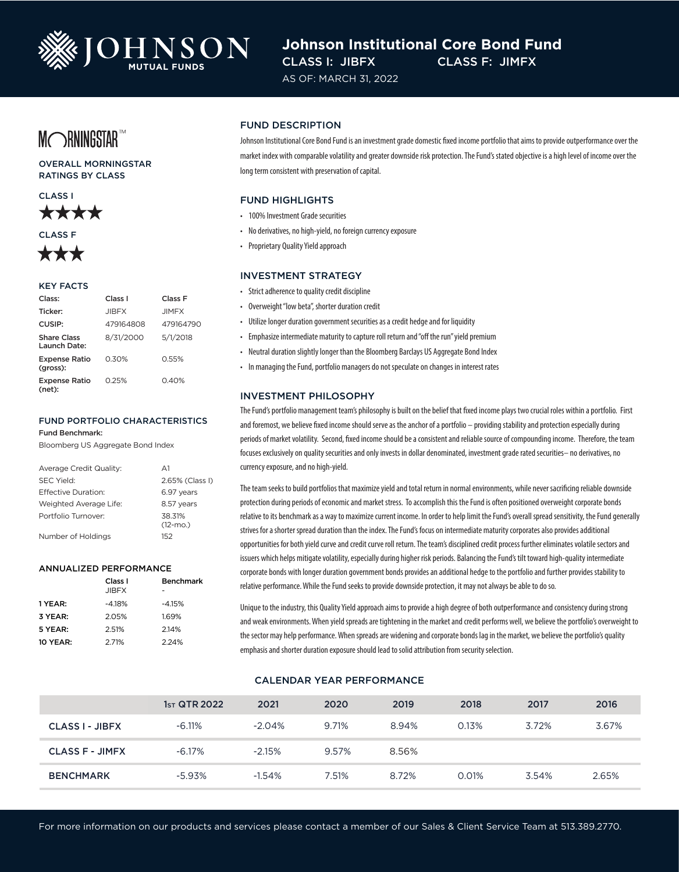

# **Johnson Institutional Core Bond Fund** CLASS I: JIBFX CLASS F: JIMFX

AS OF: MARCH 31, 2022

# MORNINGSTAR<sup>TM</sup>

OVERALL MORNINGSTAR RATINGS BY CLASS





#### KEY FACTS

| Class:                             | Class I      | Class F      |  |
|------------------------------------|--------------|--------------|--|
| Ticker:                            | <b>JIBFX</b> | <b>JIMFX</b> |  |
| CUSIP:                             | 479164808    | 479164790    |  |
| <b>Share Class</b><br>Launch Date: | 8/31/2000    | 5/1/2018     |  |
| <b>Expense Ratio</b><br>(gross):   | 0.30%        | 0.55%        |  |
| <b>Expense Ratio</b><br>(net):     | 0.25%        | 0.40%        |  |

## FUND PORTFOLIO CHARACTERISTICS

Fund Benchmark:

Bloomberg US Aggregate Bond Index

| Average Credit Quality: | $\Delta$ 1            |
|-------------------------|-----------------------|
| <b>SEC Yield:</b>       | 2.65% (Class I)       |
| Effective Duration:     | 6.97 years            |
| Weighted Average Life:  | 8.57 years            |
| Portfolio Turnover:     | 38.31%<br>$(12 - mO)$ |
| Number of Holdings      | 152                   |

#### ANNUALIZED PERFORMANCE

|                 | Class I      | <b>Benchmark</b> |
|-----------------|--------------|------------------|
|                 | <b>JIBFX</b> |                  |
| 1 YEAR:         | $-4.18%$     | $-4.15%$         |
| 3 YEAR:         | 2.05%        | 1.69%            |
| 5 YEAR:         | 2.51%        | 2.14%            |
| <b>10 YEAR:</b> | 2.71%        | 2.24%            |

#### FUND DESCRIPTION

Johnson Institutional Core Bond Fund is an investment grade domestic fixed income portfolio that aims to provide outperformance over the market index with comparable volatility and greater downside risk protection. The Fund's stated objective is a high level of income over the long term consistent with preservation of capital.

#### FUND HIGHLIGHTS

- 100% Investment Grade securities
- No derivatives, no high-yield, no foreign currency exposure
- Proprietary Quality Yield approach

#### INVESTMENT STRATEGY

- Strict adherence to quality credit discipline
- Overweight "low beta", shorter duration credit
- Utilize longer duration government securities as a credit hedge and for liquidity
- Emphasize intermediate maturity to capture roll return and "off the run" yield premium
- Neutral duration slightly longer than the Bloomberg Barclays US Aggregate Bond Index
- In managing the Fund, portfolio managers do not speculate on changes in interest rates

#### INVESTMENT PHILOSOPHY

The Fund's portfolio management team's philosophy is built on the belief that fixed income plays two crucial roles within a portfolio. First and foremost, we believe fixed income should serve as the anchor of a portfolio – providing stability and protection especially during periods of market volatility. Second, fixed income should be a consistent and reliable source of compounding income. Therefore, the team focuses exclusively on quality securities and only invests in dollar denominated, investment grade rated securities– no derivatives, no currency exposure, and no high-yield.

The team seeks to build portfolios that maximize yield and total return in normal environments, while never sacrificing reliable downside protection during periods of economic and market stress. To accomplish this the Fund is often positioned overweight corporate bonds relative to its benchmark as a way to maximize current income. In order to help limit the Fund's overall spread sensitivity, the Fund generally strives for a shorter spread duration than the index. The Fund's focus on intermediate maturity corporates also provides additional opportunities for both yield curve and credit curve roll return. The team's disciplined credit process further eliminates volatile sectors and issuers which helps mitigate volatility, especially during higher risk periods. Balancing the Fund's tilt toward high-quality intermediate corporate bonds with longer duration government bonds provides an additional hedge to the portfolio and further provides stability to relative performance. While the Fund seeks to provide downside protection, it may not always be able to do so.

Unique to the industry, this Quality Yield approach aims to provide a high degree of both outperformance and consistency during strong and weak environments. When yield spreads are tightening in the market and credit performs well, we believe the portfolio's overweight to the sector may help performance. When spreads are widening and corporate bonds lag in the market, we believe the portfolio's quality emphasis and shorter duration exposure should lead to solid attribution from security selection.

#### CALENDAR YEAR PERFORMANCE

|                        | $1sT$ QTR 2022 | 2021      | 2020  | 2019  | 2018  | 2017  | 2016  |
|------------------------|----------------|-----------|-------|-------|-------|-------|-------|
| <b>CLASS I - JIBFX</b> | $-6.11\%$      | $-2.04%$  | 9.71% | 8.94% | 0.13% | 3.72% | 3.67% |
| <b>CLASS F - JIMFX</b> | $-6.17\%$      | $-2.15%$  | 9.57% | 8.56% |       |       |       |
| <b>BENCHMARK</b>       | $-5.93%$       | $-1.54\%$ | 7.51% | 8.72% | 0.01% | 3.54% | 2.65% |